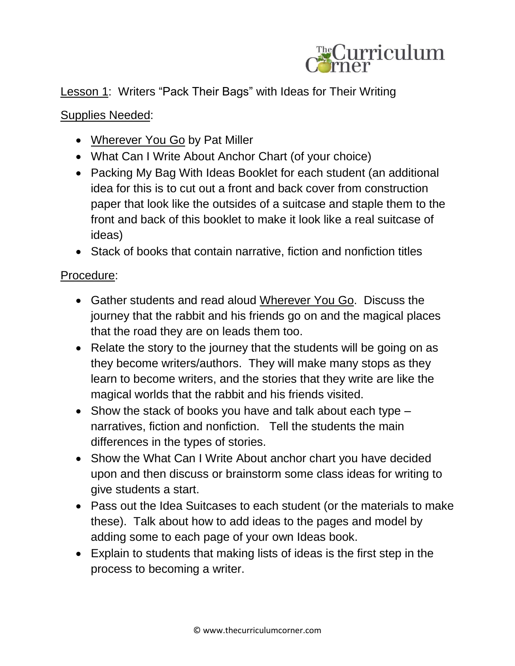

## Lesson 1: Writers "Pack Their Bags" with Ideas for Their Writing

## Supplies Needed:

- Wherever You Go by Pat Miller
- What Can I Write About Anchor Chart (of your choice)
- Packing My Bag With Ideas Booklet for each student (an additional idea for this is to cut out a front and back cover from construction paper that look like the outsides of a suitcase and staple them to the front and back of this booklet to make it look like a real suitcase of ideas)
- Stack of books that contain narrative, fiction and nonfiction titles

## Procedure:

- Gather students and read aloud Wherever You Go. Discuss the journey that the rabbit and his friends go on and the magical places that the road they are on leads them too.
- Relate the story to the journey that the students will be going on as they become writers/authors. They will make many stops as they learn to become writers, and the stories that they write are like the magical worlds that the rabbit and his friends visited.
- $\bullet$  Show the stack of books you have and talk about each type  $$ narratives, fiction and nonfiction. Tell the students the main differences in the types of stories.
- Show the What Can I Write About anchor chart you have decided upon and then discuss or brainstorm some class ideas for writing to give students a start.
- Pass out the Idea Suitcases to each student (or the materials to make these). Talk about how to add ideas to the pages and model by adding some to each page of your own Ideas book.
- Explain to students that making lists of ideas is the first step in the process to becoming a writer.